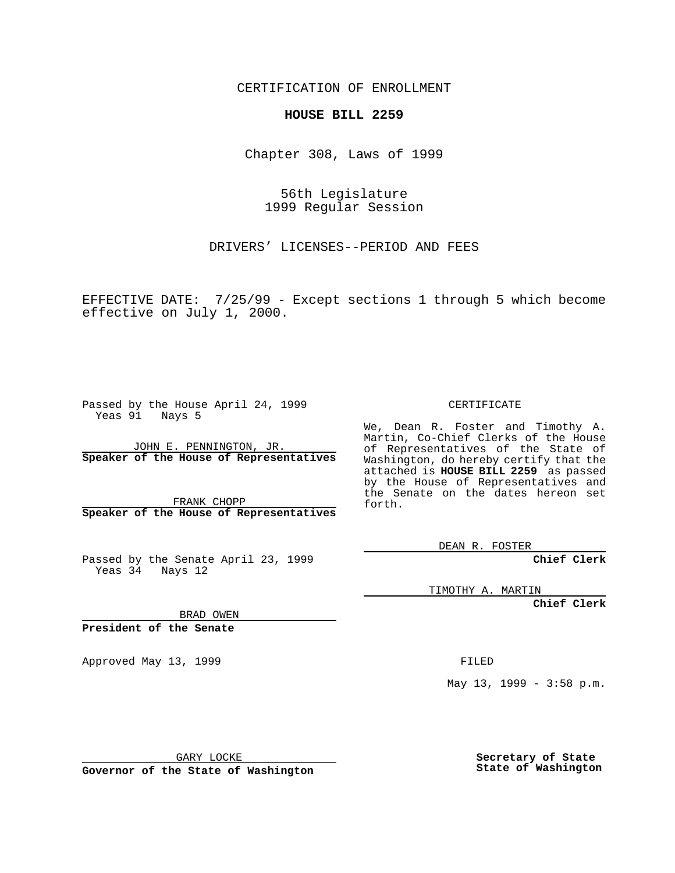CERTIFICATION OF ENROLLMENT

## **HOUSE BILL 2259**

Chapter 308, Laws of 1999

56th Legislature 1999 Regular Session

DRIVERS' LICENSES--PERIOD AND FEES

EFFECTIVE DATE: 7/25/99 - Except sections 1 through 5 which become effective on July 1, 2000.

Passed by the House April 24, 1999 Yeas 91 Nays 5

JOHN E. PENNINGTON, JR. **Speaker of the House of Representatives**

FRANK CHOPP **Speaker of the House of Representatives**

Passed by the Senate April 23, 1999 Yeas 34 Nays 12

CERTIFICATE

We, Dean R. Foster and Timothy A. Martin, Co-Chief Clerks of the House of Representatives of the State of Washington, do hereby certify that the attached is **HOUSE BILL 2259** as passed by the House of Representatives and the Senate on the dates hereon set forth.

DEAN R. FOSTER

**Chief Clerk**

TIMOTHY A. MARTIN

**Chief Clerk**

BRAD OWEN

**President of the Senate**

Approved May 13, 1999 **FILED** 

May 13, 1999 - 3:58 p.m.

GARY LOCKE

**Governor of the State of Washington**

**Secretary of State State of Washington**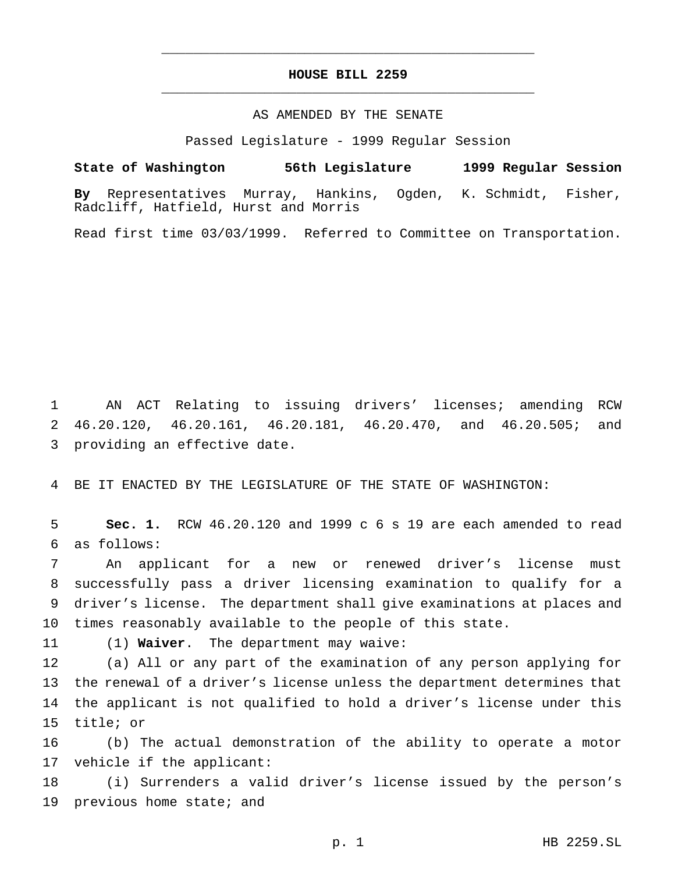## **HOUSE BILL 2259** \_\_\_\_\_\_\_\_\_\_\_\_\_\_\_\_\_\_\_\_\_\_\_\_\_\_\_\_\_\_\_\_\_\_\_\_\_\_\_\_\_\_\_\_\_\_\_

\_\_\_\_\_\_\_\_\_\_\_\_\_\_\_\_\_\_\_\_\_\_\_\_\_\_\_\_\_\_\_\_\_\_\_\_\_\_\_\_\_\_\_\_\_\_\_

## AS AMENDED BY THE SENATE

Passed Legislature - 1999 Regular Session

**State of Washington 56th Legislature 1999 Regular Session By** Representatives Murray, Hankins, Ogden, K. Schmidt, Fisher, Radcliff, Hatfield, Hurst and Morris

Read first time 03/03/1999. Referred to Committee on Transportation.

 AN ACT Relating to issuing drivers' licenses; amending RCW 46.20.120, 46.20.161, 46.20.181, 46.20.470, and 46.20.505; and providing an effective date.

BE IT ENACTED BY THE LEGISLATURE OF THE STATE OF WASHINGTON:

 **Sec. 1.** RCW 46.20.120 and 1999 c 6 s 19 are each amended to read as follows:

 An applicant for a new or renewed driver's license must successfully pass a driver licensing examination to qualify for a driver's license. The department shall give examinations at places and times reasonably available to the people of this state.

(1) **Waiver**. The department may waive:

 (a) All or any part of the examination of any person applying for the renewal of a driver's license unless the department determines that the applicant is not qualified to hold a driver's license under this title; or

 (b) The actual demonstration of the ability to operate a motor vehicle if the applicant:

 (i) Surrenders a valid driver's license issued by the person's previous home state; and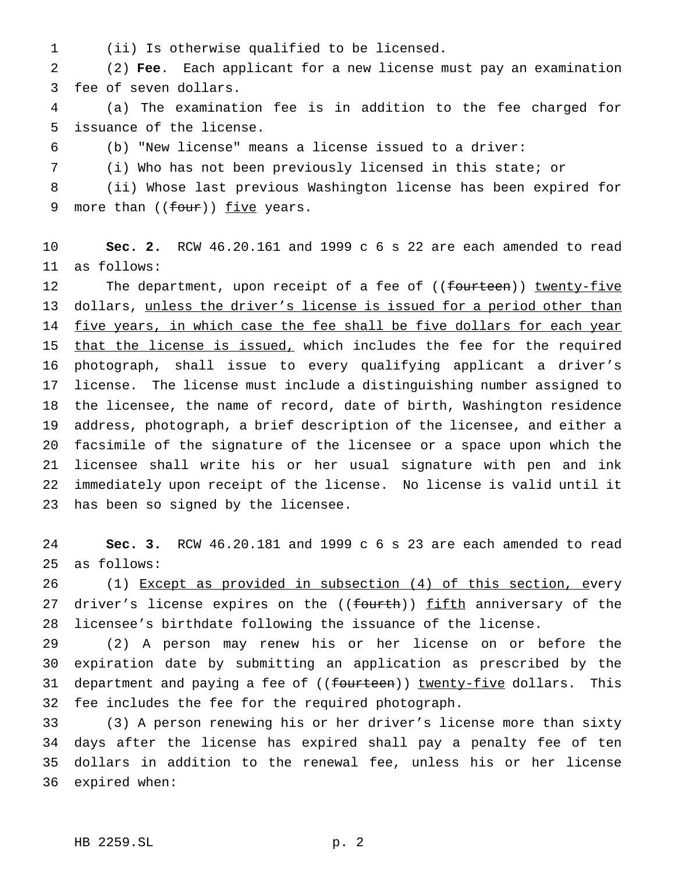(ii) Is otherwise qualified to be licensed.

 (2) **Fee**. Each applicant for a new license must pay an examination fee of seven dollars.

 (a) The examination fee is in addition to the fee charged for issuance of the license.

(b) "New license" means a license issued to a driver:

(i) Who has not been previously licensed in this state; or

 (ii) Whose last previous Washington license has been expired for 9 more than ((four)) five years.

 **Sec. 2.** RCW 46.20.161 and 1999 c 6 s 22 are each amended to read as follows:

12 The department, upon receipt of a fee of ((fourteen)) twenty-five 13 dollars, unless the driver's license is issued for a period other than 14 five years, in which case the fee shall be five dollars for each year 15 that the license is issued, which includes the fee for the required photograph, shall issue to every qualifying applicant a driver's license. The license must include a distinguishing number assigned to the licensee, the name of record, date of birth, Washington residence address, photograph, a brief description of the licensee, and either a facsimile of the signature of the licensee or a space upon which the licensee shall write his or her usual signature with pen and ink immediately upon receipt of the license. No license is valid until it has been so signed by the licensee.

 **Sec. 3.** RCW 46.20.181 and 1999 c 6 s 23 are each amended to read as follows:

 (1) Except as provided in subsection (4) of this section, every 27 driver's license expires on the ((fourth)) fifth anniversary of the licensee's birthdate following the issuance of the license.

 (2) A person may renew his or her license on or before the expiration date by submitting an application as prescribed by the 31 department and paying a fee of ((<del>fourteen</del>)) <u>twenty-five</u> dollars. This fee includes the fee for the required photograph.

 (3) A person renewing his or her driver's license more than sixty days after the license has expired shall pay a penalty fee of ten dollars in addition to the renewal fee, unless his or her license expired when: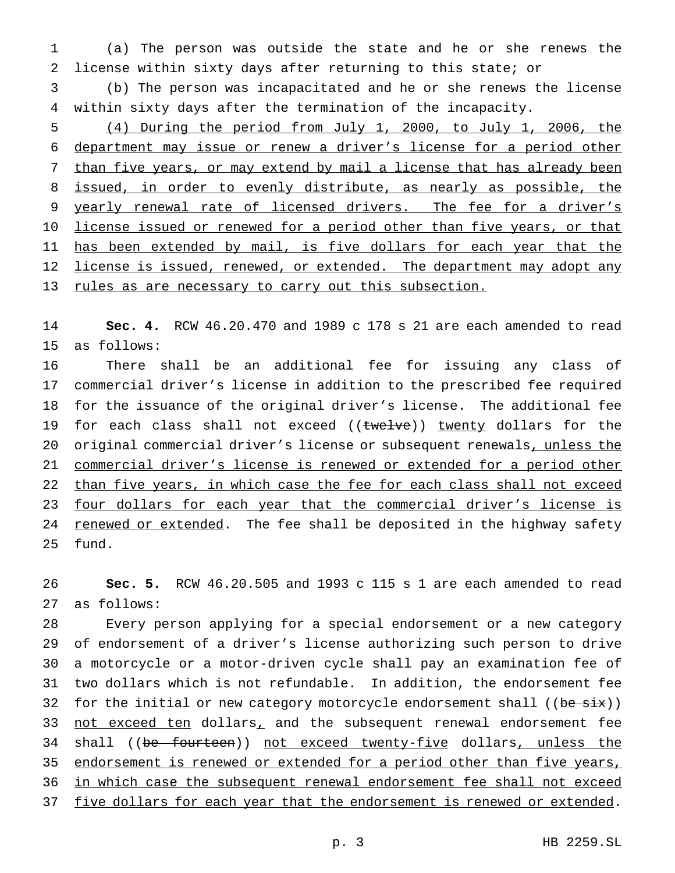(a) The person was outside the state and he or she renews the license within sixty days after returning to this state; or

 (b) The person was incapacitated and he or she renews the license within sixty days after the termination of the incapacity.

 (4) During the period from July 1, 2000, to July 1, 2006, the department may issue or renew a driver's license for a period other than five years, or may extend by mail a license that has already been 8 issued, in order to evenly distribute, as nearly as possible, the yearly renewal rate of licensed drivers. The fee for a driver's 10 license issued or renewed for a period other than five years, or that 11 has been extended by mail, is five dollars for each year that the 12 license is issued, renewed, or extended. The department may adopt any rules as are necessary to carry out this subsection.

 **Sec. 4.** RCW 46.20.470 and 1989 c 178 s 21 are each amended to read as follows:

 There shall be an additional fee for issuing any class of commercial driver's license in addition to the prescribed fee required for the issuance of the original driver's license. The additional fee 19 for each class shall not exceed  $((\text{twelve}))$  twenty dollars for the 20 original commercial driver's license or subsequent renewals, unless the commercial driver's license is renewed or extended for a period other 22 than five years, in which case the fee for each class shall not exceed four dollars for each year that the commercial driver's license is 24 renewed or extended. The fee shall be deposited in the highway safety fund.

 **Sec. 5.** RCW 46.20.505 and 1993 c 115 s 1 are each amended to read as follows:

 Every person applying for a special endorsement or a new category of endorsement of a driver's license authorizing such person to drive a motorcycle or a motor-driven cycle shall pay an examination fee of two dollars which is not refundable. In addition, the endorsement fee 32 for the initial or new category motorcycle endorsement shall ((be six)) 33 not exceed ten dollars, and the subsequent renewal endorsement fee 34 shall ((be fourteen)) not exceed twenty-five dollars, unless the 35 endorsement is renewed or extended for a period other than five years, in which case the subsequent renewal endorsement fee shall not exceed 37 five dollars for each year that the endorsement is renewed or extended.